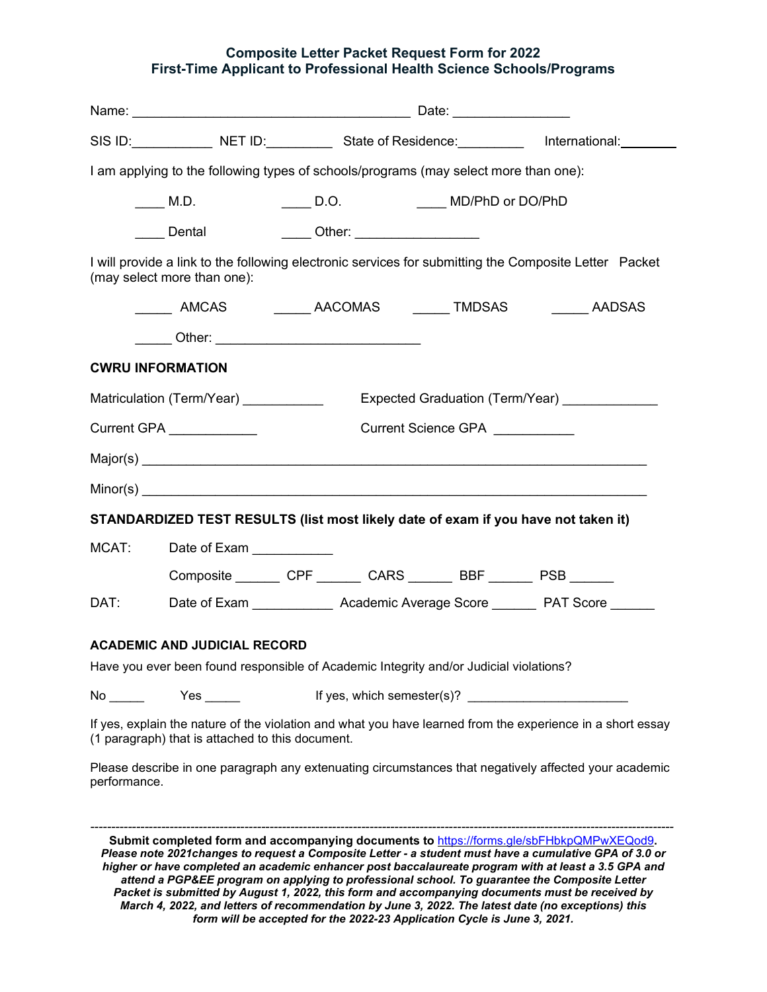### **Composite Letter Packet Request Form for 2022 First-Time Applicant to Professional Health Science Schools/Programs**

|                                                                                                                                                                |                                                                         |                                 |                                                                    | SIS ID: NET ID: NET ID: State of Residence: Net and thernational: Net also be a state of Residence: Net and the |  |  |
|----------------------------------------------------------------------------------------------------------------------------------------------------------------|-------------------------------------------------------------------------|---------------------------------|--------------------------------------------------------------------|-----------------------------------------------------------------------------------------------------------------|--|--|
| I am applying to the following types of schools/programs (may select more than one):                                                                           |                                                                         |                                 |                                                                    |                                                                                                                 |  |  |
|                                                                                                                                                                | M.D.                                                                    | D.O.                            | MD/PhD or DO/PhD                                                   |                                                                                                                 |  |  |
|                                                                                                                                                                | Dental                                                                  | _____ Other: __________________ |                                                                    |                                                                                                                 |  |  |
| I will provide a link to the following electronic services for submitting the Composite Letter Packet<br>(may select more than one):                           |                                                                         |                                 |                                                                    |                                                                                                                 |  |  |
|                                                                                                                                                                |                                                                         |                                 |                                                                    | ______ AMCAS _________ AACOMAS ______ TMDSAS _______ AADSAS                                                     |  |  |
|                                                                                                                                                                | __ ___ Other: _________________________________                         |                                 |                                                                    |                                                                                                                 |  |  |
| <b>CWRU INFORMATION</b>                                                                                                                                        |                                                                         |                                 |                                                                    |                                                                                                                 |  |  |
|                                                                                                                                                                | Matriculation (Term/Year) __________<br>Expected Graduation (Term/Year) |                                 |                                                                    |                                                                                                                 |  |  |
| Current GPA ____________<br>Current Science GPA                                                                                                                |                                                                         |                                 |                                                                    |                                                                                                                 |  |  |
|                                                                                                                                                                |                                                                         |                                 |                                                                    |                                                                                                                 |  |  |
|                                                                                                                                                                |                                                                         |                                 |                                                                    |                                                                                                                 |  |  |
| STANDARDIZED TEST RESULTS (list most likely date of exam if you have not taken it)                                                                             |                                                                         |                                 |                                                                    |                                                                                                                 |  |  |
| MCAT:                                                                                                                                                          | Date of Exam ___________                                                |                                 |                                                                    |                                                                                                                 |  |  |
|                                                                                                                                                                |                                                                         |                                 | Composite ________ CPF _______ CARS _______ BBF _______ PSB ______ |                                                                                                                 |  |  |
| DAT:                                                                                                                                                           |                                                                         |                                 |                                                                    | Date of Exam ________________ Academic Average Score _________ PAT Score _______                                |  |  |
| <b>ACADEMIC AND JUDICIAL RECORD</b><br>Have you ever been found responsible of Academic Integrity and/or Judicial violations?                                  |                                                                         |                                 |                                                                    |                                                                                                                 |  |  |
|                                                                                                                                                                |                                                                         |                                 |                                                                    |                                                                                                                 |  |  |
| $No \_\_$                                                                                                                                                      |                                                                         |                                 |                                                                    |                                                                                                                 |  |  |
| If yes, explain the nature of the violation and what you have learned from the experience in a short essay<br>(1 paragraph) that is attached to this document. |                                                                         |                                 |                                                                    |                                                                                                                 |  |  |
| Please describe in one paragraph any extenuating circumstances that negatively affected your academic<br>performance.                                          |                                                                         |                                 |                                                                    |                                                                                                                 |  |  |
|                                                                                                                                                                |                                                                         |                                 |                                                                    |                                                                                                                 |  |  |

**Submit completed form and accompanying documents to** <https://forms.gle/sbFHbkpQMPwXEQod9>**.** *Please note 2021changes to request a Composite Letter - a student must have a cumulative GPA of 3.0 or higher or have completed an academic enhancer post baccalaureate program with at least a 3.5 GPA and attend a PGP&EE program on applying to professional school. To guarantee the Composite Letter Packet is submitted by August 1, 2022, this form and accompanying documents must be received by March 4, 2022, and letters of recommendation by June 3, 2022. The latest date (no exceptions) this form will be accepted for the 2022-23 Application Cycle is June 3, 2021.*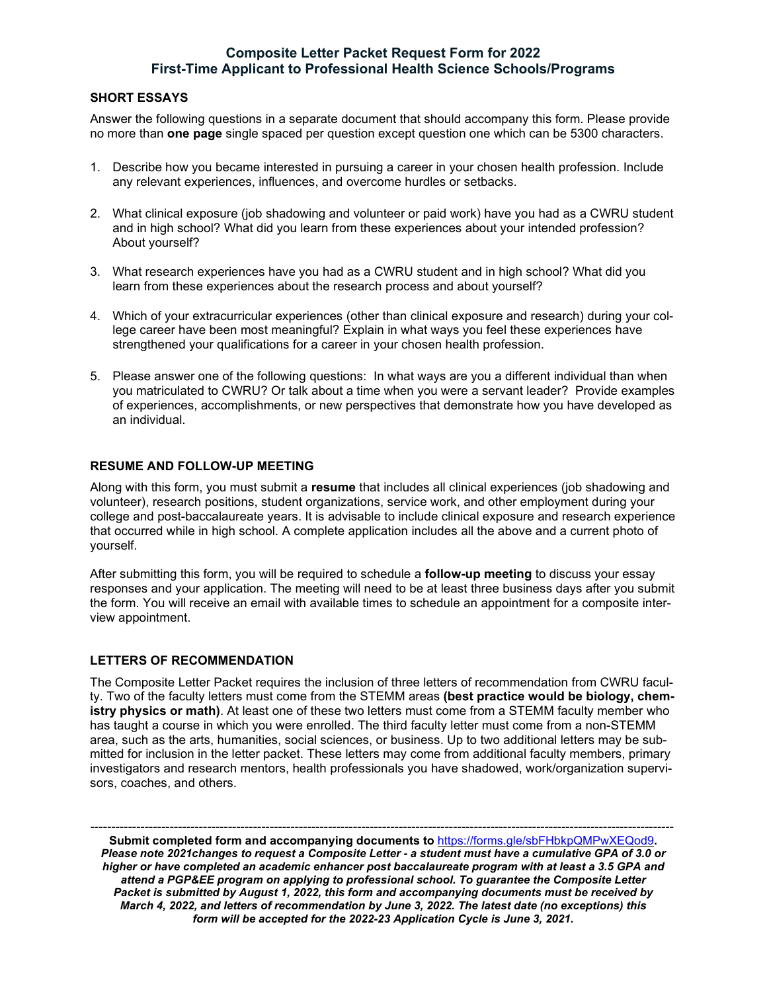# **Composite Letter Packet Request Form for 2022 First-Time Applicant to Professional Health Science Schools/Programs**

#### **SHORT ESSAYS**

Answer the following questions in a separate document that should accompany this form. Please provide no more than **one page** single spaced per question except question one which can be 5300 characters.

- 1. Describe how you became interested in pursuing a career in your chosen health profession. Include any relevant experiences, influences, and overcome hurdles or setbacks.
- 2. What clinical exposure (job shadowing and volunteer or paid work) have you had as a CWRU student and in high school? What did you learn from these experiences about your intended profession? About yourself?
- 3. What research experiences have you had as a CWRU student and in high school? What did you learn from these experiences about the research process and about yourself?
- 4. Which of your extracurricular experiences (other than clinical exposure and research) during your college career have been most meaningful? Explain in what ways you feel these experiences have strengthened your qualifications for a career in your chosen health profession.
- 5. Please answer one of the following questions: In what ways are you a different individual than when you matriculated to CWRU? Or talk about a time when you were a servant leader? Provide examples of experiences, accomplishments, or new perspectives that demonstrate how you have developed as an individual.

#### **RESUME AND FOLLOW-UP MEETING**

Along with this form, you must submit a **resume** that includes all clinical experiences (job shadowing and volunteer), research positions, student organizations, service work, and other employment during your college and post-baccalaureate years. It is advisable to include clinical exposure and research experience that occurred while in high school. A complete application includes all the above and a current photo of yourself.

After submitting this form, you will be required to schedule a **follow-up meeting** to discuss your essay responses and your application. The meeting will need to be at least three business days after you submit the form. You will receive an email with available times to schedule an appointment for a composite interview appointment.

### **LETTERS OF RECOMMENDATION**

The Composite Letter Packet requires the inclusion of three letters of recommendation from CWRU faculty. Two of the faculty letters must come from the STEMM areas **(best practice would be biology, chemistry physics or math)**. At least one of these two letters must come from a STEMM faculty member who has taught a course in which you were enrolled. The third faculty letter must come from a non-STEMM area, such as the arts, humanities, social sciences, or business. Up to two additional letters may be submitted for inclusion in the letter packet. These letters may come from additional faculty members, primary investigators and research mentors, health professionals you have shadowed, work/organization supervisors, coaches, and others.

*--------------------------------------------------------------------------------------------------------------------------------------------* **Submit completed form and accompanying documents to** <https://forms.gle/sbFHbkpQMPwXEQod9>**.** *Please note 2021changes to request a Composite Letter - a student must have a cumulative GPA of 3.0 or higher or have completed an academic enhancer post baccalaureate program with at least a 3.5 GPA and attend a PGP&EE program on applying to professional school. To guarantee the Composite Letter Packet is submitted by August 1, 2022, this form and accompanying documents must be received by March 4, 2022, and letters of recommendation by June 3, 2022. The latest date (no exceptions) this form will be accepted for the 2022-23 Application Cycle is June 3, 2021.*